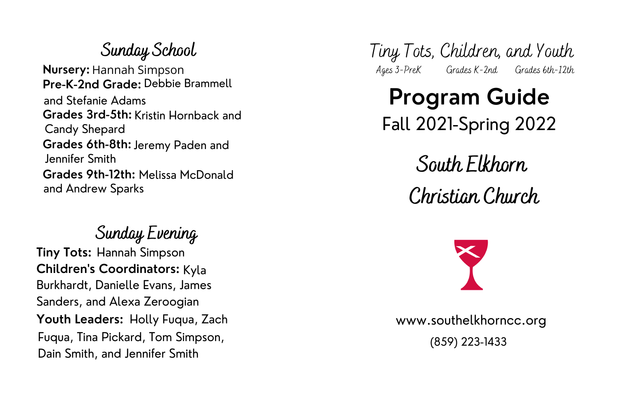#### **S unday Ev ening**

**Tiny Tots:** Hannah Simpson **Children's Coordinators:** Kyla **Youth Leaders:** Holly Fuqua, Zach Fuqua, Tina Pickard, Tom Simpson, Dain Smith, and Jennifer Smith Burkhardt, Danielle Evans, James Sanders, and Alexa Zeroogian

#### **S unday S cho o l Nursery:** Hannah Simpson **Pre-K-2nd Grade: Debbie Brammell Grades 3rd-5th:** Kristin Hornback and **Grades 6th-8th:** Jeremy Paden and **Grades 9th-12th: Melissa McDonald** and Stefanie Adams Candy Shepard Jennifer Smith and Andrew Sparks

Tiny Tots, Children, and Youth A ges 3 - P r eK G r ades K - 2 nd G r ades 6 th - 1 2 th

## **Program Guide** Fall 2021-Spring 2022

# **S o uth Elkho rn**

### **C hris tian C hurch**



www.southelkhorncc.org

(859) 223-1433